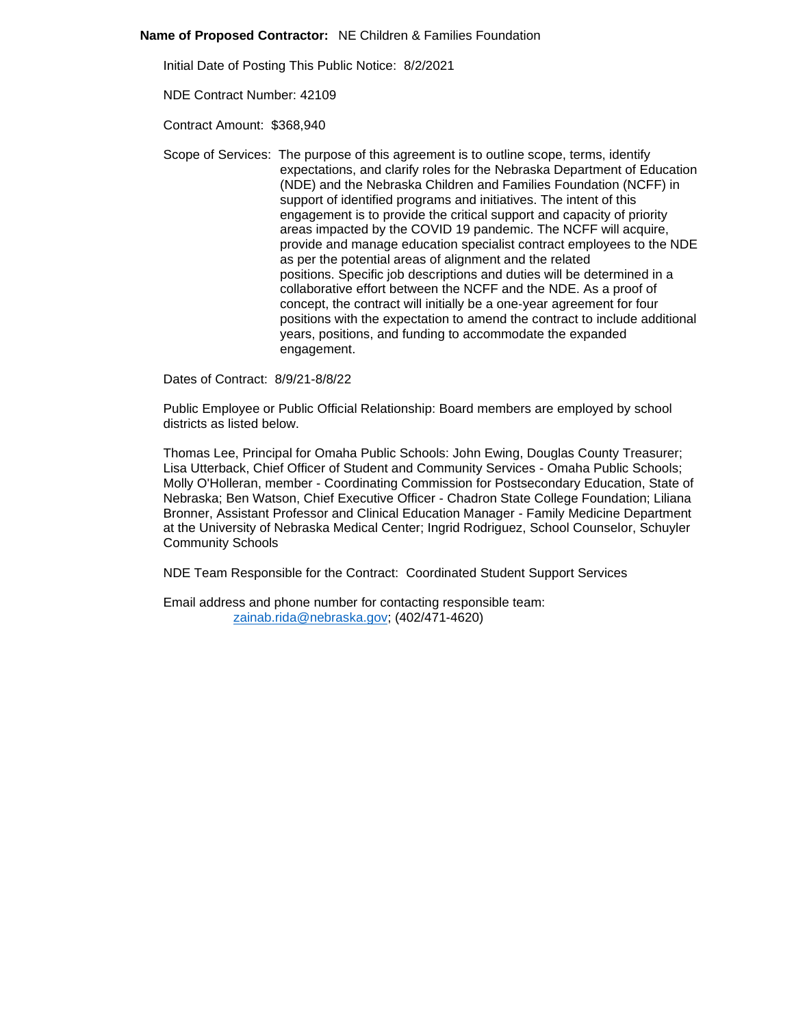## **Name of Proposed Contractor:** NE Children & Families Foundation

Initial Date of Posting This Public Notice: 8/2/2021

NDE Contract Number: 42109

Contract Amount: \$368,940

Scope of Services: The purpose of this agreement is to outline scope, terms, identify expectations, and clarify roles for the Nebraska Department of Education (NDE) and the Nebraska Children and Families Foundation (NCFF) in support of identified programs and initiatives. The intent of this engagement is to provide the critical support and capacity of priority areas impacted by the COVID 19 pandemic. The NCFF will acquire, provide and manage education specialist contract employees to the NDE as per the potential areas of alignment and the related positions. Specific job descriptions and duties will be determined in a collaborative effort between the NCFF and the NDE. As a proof of concept, the contract will initially be a one‐year agreement for four positions with the expectation to amend the contract to include additional years, positions, and funding to accommodate the expanded engagement.

Dates of Contract: 8/9/21-8/8/22

Public Employee or Public Official Relationship: Board members are employed by school districts as listed below.

Thomas Lee, Principal for Omaha Public Schools: John Ewing, Douglas County Treasurer; Lisa Utterback, Chief Officer of Student and Community Services - Omaha Public Schools; Molly O'Holleran, member - Coordinating Commission for Postsecondary Education, State of Nebraska; Ben Watson, Chief Executive Officer - Chadron State College Foundation; Liliana Bronner, Assistant Professor and Clinical Education Manager - Family Medicine Department at the University of Nebraska Medical Center; Ingrid Rodriguez, School Counselor, Schuyler Community Schools

NDE Team Responsible for the Contract: Coordinated Student Support Services

Email address and phone number for contacting responsible team: [zainab.rida@nebraska.gov;](mailto:zainab.rida@nebraska.gov) (402/471-4620)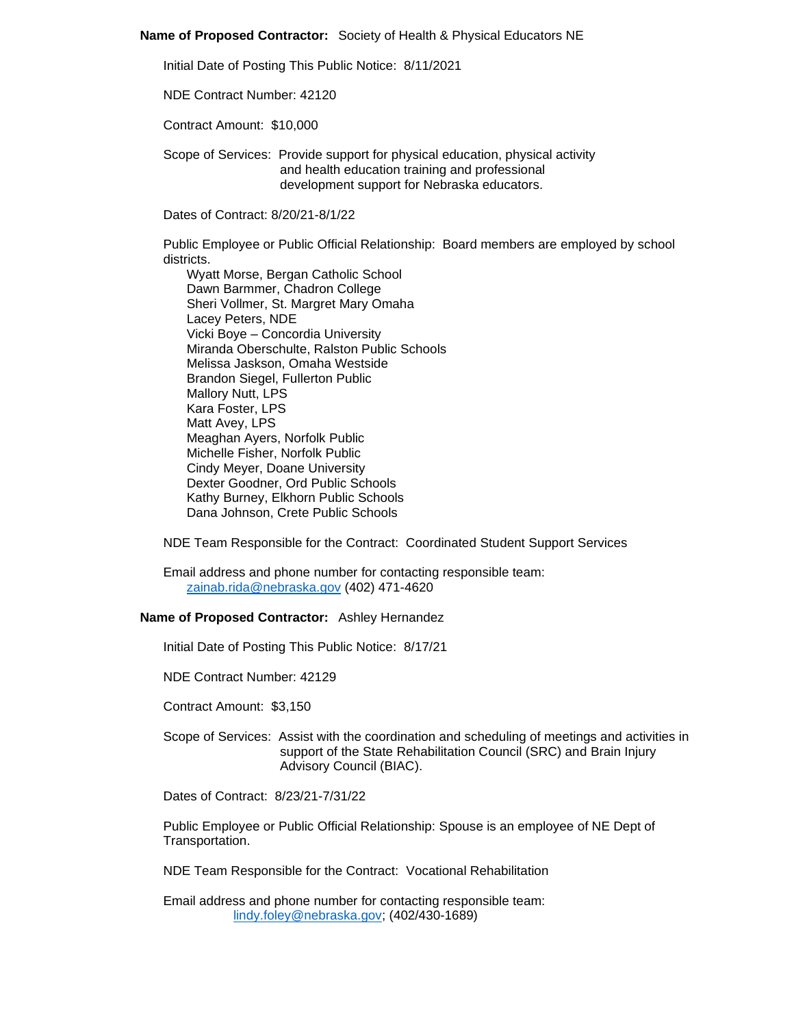## **Name of Proposed Contractor:** Society of Health & Physical Educators NE

Initial Date of Posting This Public Notice: 8/11/2021

NDE Contract Number: 42120

Contract Amount: \$10,000

Scope of Services: Provide support for physical education, physical activity and health education training and professional development support for Nebraska educators.

Dates of Contract: 8/20/21-8/1/22

Public Employee or Public Official Relationship: Board members are employed by school districts.

Wyatt Morse, Bergan Catholic School Dawn Barmmer, Chadron College Sheri Vollmer, St. Margret Mary Omaha Lacey Peters, NDE Vicki Boye – Concordia University Miranda Oberschulte, Ralston Public Schools Melissa Jaskson, Omaha Westside Brandon Siegel, Fullerton Public Mallory Nutt, LPS Kara Foster, LPS Matt Avey, LPS Meaghan Ayers, Norfolk Public Michelle Fisher, Norfolk Public Cindy Meyer, Doane University Dexter Goodner, Ord Public Schools Kathy Burney, Elkhorn Public Schools Dana Johnson, Crete Public Schools

NDE Team Responsible for the Contract: Coordinated Student Support Services

Email address and phone number for contacting responsible team: [zainab.rida@nebraska.gov](mailto:zainab.rida@nebraska.gov) (402) 471-4620

## **Name of Proposed Contractor:** Ashley Hernandez

Initial Date of Posting This Public Notice: 8/17/21

NDE Contract Number: 42129

Contract Amount: \$3,150

Scope of Services: Assist with the coordination and scheduling of meetings and activities in support of the State Rehabilitation Council (SRC) and Brain Injury Advisory Council (BIAC).

Dates of Contract: 8/23/21-7/31/22

Public Employee or Public Official Relationship: Spouse is an employee of NE Dept of Transportation.

NDE Team Responsible for the Contract: Vocational Rehabilitation

Email address and phone number for contacting responsible team: [lindy.foley@nebraska.gov;](mailto:lindy.foley@nebraska.gov) (402/430-1689)